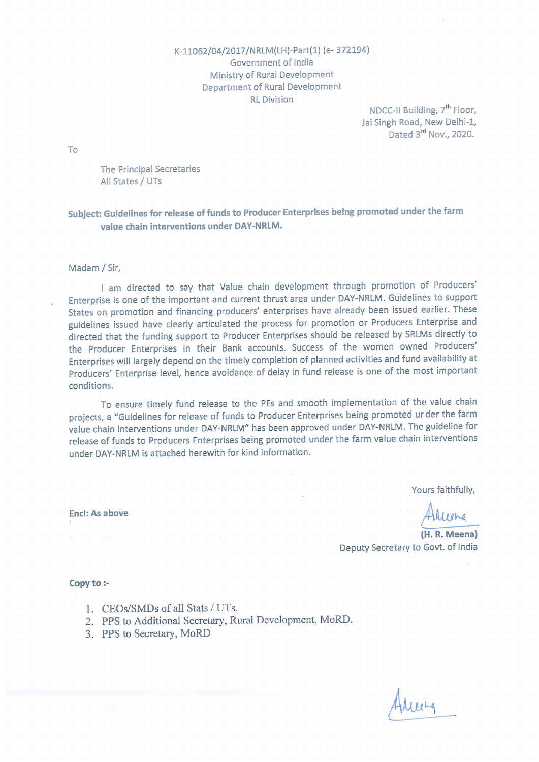#### K-11062/04/2017/NRLM(LH)-Part(1) (e-372194) Government of India Ministry of Rural Development Department of Rural Development **RL** Division

NDCC-II Building, 7<sup>th</sup> Floor, Jai Singh Road, New Delhi-1, Dated 3rd Nov., 2020.

To

The Principal Secretaries All States / UTs

### Subject: Guidelines for release of funds to Producer Enterprises being promoted under the farm value chain interventions under DAY-NRLM.

#### Madam / Sir,

I am directed to say that Value chain development through promotion of Producers' Enterprise is one of the important and current thrust area under DAY-NRLM. Guidelines to support States on promotion and financing producers' enterprises have already been issued earlier. These guidelines issued have clearly articulated the process for promotion or Producers Enterprise and directed that the funding support to Producer Enterprises should be released by SRLMs directly to the Producer Enterprises in their Bank accounts. Success of the women owned Producers' Enterprises will largely depend on the timely completion of planned activities and fund availability at Producers' Enterprise level, hence avoidance of delay in fund release is one of the most important conditions.

To ensure timely fund release to the PEs and smooth implementation of the value chain projects, a "Guidelines for release of funds to Producer Enterprises being promoted ur der the farm value chain interventions under DAY-NRLM" has been approved under DAY-NRLM. The guideline for release of funds to Producers Enterprises being promoted under the farm value chain interventions under DAY-NRLM is attached herewith for kind information.

Yours faithfully,

(H. R. Meena) Deputy Secretary to Govt. of India

Copy to :-

Encl: As above

- 1. CEOs/SMDs of all Stats / UTs.
- 2. PPS to Additional Secretary, Rural Development, MoRD.
- 3. PPS to Secretary, MoRD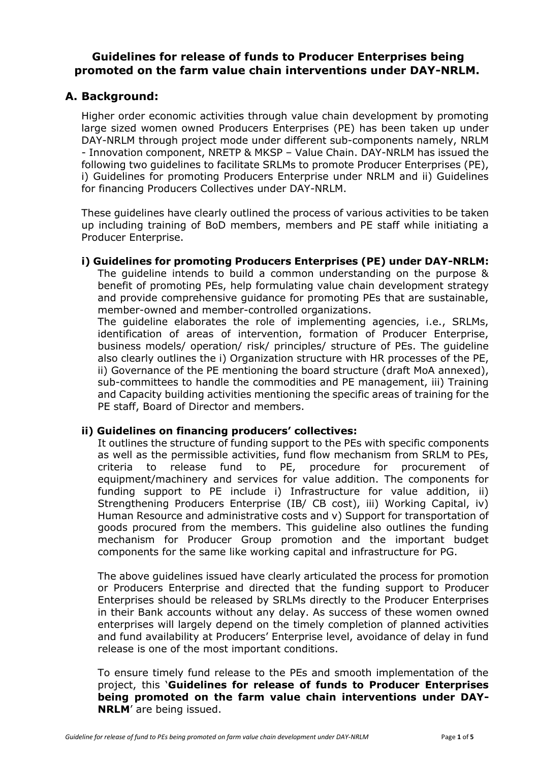## **Guidelines for release of funds to Producer Enterprises being promoted on the farm value chain interventions under DAY-NRLM.**

### **A. Background:**

Higher order economic activities through value chain development by promoting large sized women owned Producers Enterprises (PE) has been taken up under DAY-NRLM through project mode under different sub-components namely, NRLM - Innovation component, NRETP & MKSP – Value Chain. DAY-NRLM has issued the following two guidelines to facilitate SRLMs to promote Producer Enterprises (PE), i) Guidelines for promoting Producers Enterprise under NRLM and ii) Guidelines for financing Producers Collectives under DAY-NRLM.

These guidelines have clearly outlined the process of various activities to be taken up including training of BoD members, members and PE staff while initiating a Producer Enterprise.

### **i) Guidelines for promoting Producers Enterprises (PE) under DAY-NRLM:**

The guideline intends to build a common understanding on the purpose & benefit of promoting PEs, help formulating value chain development strategy and provide comprehensive guidance for promoting PEs that are sustainable, member-owned and member-controlled organizations.

The guideline elaborates the role of implementing agencies, i.e., SRLMs, identification of areas of intervention, formation of Producer Enterprise, business models/ operation/ risk/ principles/ structure of PEs. The guideline also clearly outlines the i) Organization structure with HR processes of the PE, ii) Governance of the PE mentioning the board structure (draft MoA annexed), sub-committees to handle the commodities and PE management, iii) Training and Capacity building activities mentioning the specific areas of training for the PE staff, Board of Director and members.

### **ii) Guidelines on financing producers' collectives:**

It outlines the structure of funding support to the PEs with specific components as well as the permissible activities, fund flow mechanism from SRLM to PEs, criteria to release fund to PE, procedure for procurement of equipment/machinery and services for value addition. The components for funding support to PE include i) Infrastructure for value addition, ii) Strengthening Producers Enterprise (IB/ CB cost), iii) Working Capital, iv) Human Resource and administrative costs and v) Support for transportation of goods procured from the members. This guideline also outlines the funding mechanism for Producer Group promotion and the important budget components for the same like working capital and infrastructure for PG.

The above guidelines issued have clearly articulated the process for promotion or Producers Enterprise and directed that the funding support to Producer Enterprises should be released by SRLMs directly to the Producer Enterprises in their Bank accounts without any delay. As success of these women owned enterprises will largely depend on the timely completion of planned activities and fund availability at Producers' Enterprise level, avoidance of delay in fund release is one of the most important conditions.

To ensure timely fund release to the PEs and smooth implementation of the project, this '**Guidelines for release of funds to Producer Enterprises being promoted on the farm value chain interventions under DAY-NRLM**' are being issued.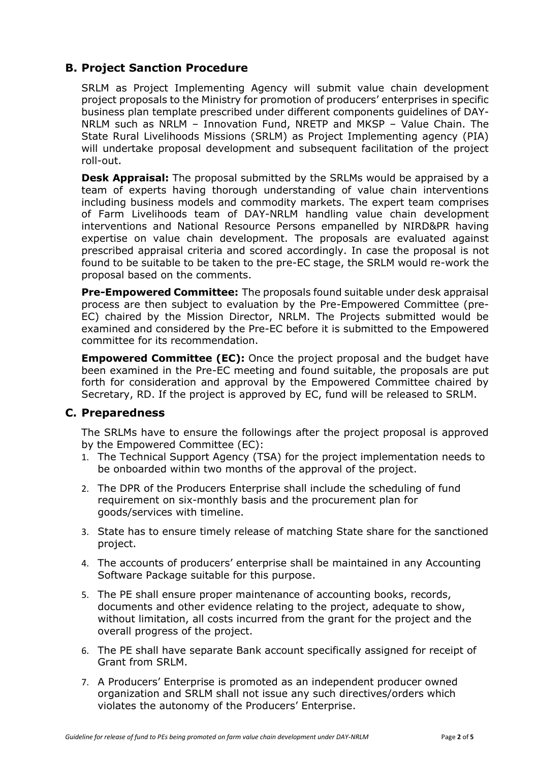# **B. Project Sanction Procedure**

SRLM as Project Implementing Agency will submit value chain development project proposals to the Ministry for promotion of producers' enterprises in specific business plan template prescribed under different components guidelines of DAY-NRLM such as NRLM – Innovation Fund, NRETP and MKSP – Value Chain. The State Rural Livelihoods Missions (SRLM) as Project Implementing agency (PIA) will undertake proposal development and subsequent facilitation of the project roll-out.

**Desk Appraisal:** The proposal submitted by the SRLMs would be appraised by a team of experts having thorough understanding of value chain interventions including business models and commodity markets. The expert team comprises of Farm Livelihoods team of DAY-NRLM handling value chain development interventions and National Resource Persons empanelled by NIRD&PR having expertise on value chain development. The proposals are evaluated against prescribed appraisal criteria and scored accordingly. In case the proposal is not found to be suitable to be taken to the pre-EC stage, the SRLM would re-work the proposal based on the comments.

**Pre-Empowered Committee:** The proposals found suitable under desk appraisal process are then subject to evaluation by the Pre-Empowered Committee (pre-EC) chaired by the Mission Director, NRLM. The Projects submitted would be examined and considered by the Pre-EC before it is submitted to the Empowered committee for its recommendation.

**Empowered Committee (EC):** Once the project proposal and the budget have been examined in the Pre-EC meeting and found suitable, the proposals are put forth for consideration and approval by the Empowered Committee chaired by Secretary, RD. If the project is approved by EC, fund will be released to SRLM.

### **C. Preparedness**

The SRLMs have to ensure the followings after the project proposal is approved by the Empowered Committee (EC):

- 1. The Technical Support Agency (TSA) for the project implementation needs to be onboarded within two months of the approval of the project.
- 2. The DPR of the Producers Enterprise shall include the scheduling of fund requirement on six-monthly basis and the procurement plan for goods/services with timeline.
- 3. State has to ensure timely release of matching State share for the sanctioned project.
- 4. The accounts of producers' enterprise shall be maintained in any Accounting Software Package suitable for this purpose.
- 5. The PE shall ensure proper maintenance of accounting books, records, documents and other evidence relating to the project, adequate to show, without limitation, all costs incurred from the grant for the project and the overall progress of the project.
- 6. The PE shall have separate Bank account specifically assigned for receipt of Grant from SRLM.
- 7. A Producers' Enterprise is promoted as an independent producer owned organization and SRLM shall not issue any such directives/orders which violates the autonomy of the Producers' Enterprise.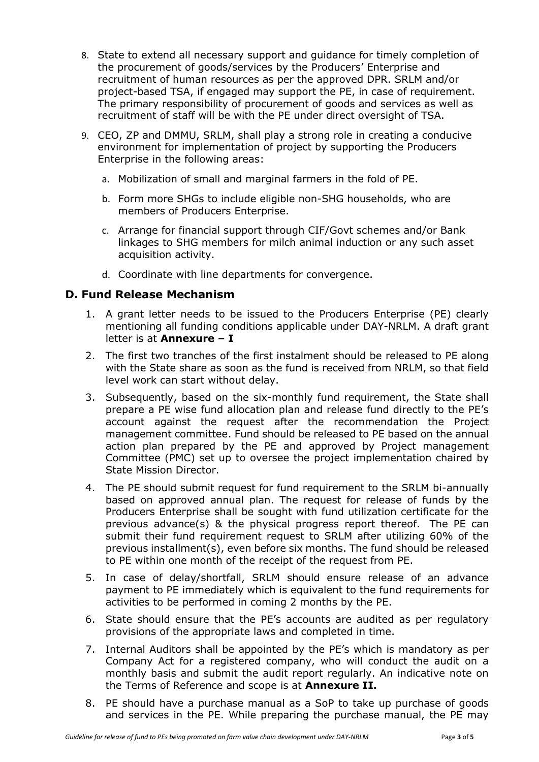- 8. State to extend all necessary support and guidance for timely completion of the procurement of goods/services by the Producers' Enterprise and recruitment of human resources as per the approved DPR. SRLM and/or project-based TSA, if engaged may support the PE, in case of requirement. The primary responsibility of procurement of goods and services as well as recruitment of staff will be with the PE under direct oversight of TSA.
- 9. CEO, ZP and DMMU, SRLM, shall play a strong role in creating a conducive environment for implementation of project by supporting the Producers Enterprise in the following areas:
	- a. Mobilization of small and marginal farmers in the fold of PE.
	- b. Form more SHGs to include eligible non-SHG households, who are members of Producers Enterprise.
	- c. Arrange for financial support through CIF/Govt schemes and/or Bank linkages to SHG members for milch animal induction or any such asset acquisition activity.
	- d. Coordinate with line departments for convergence.

## **D. Fund Release Mechanism**

- 1. A grant letter needs to be issued to the Producers Enterprise (PE) clearly mentioning all funding conditions applicable under DAY-NRLM. A draft grant letter is at **Annexure – I**
- 2. The first two tranches of the first instalment should be released to PE along with the State share as soon as the fund is received from NRLM, so that field level work can start without delay.
- 3. Subsequently, based on the six-monthly fund requirement, the State shall prepare a PE wise fund allocation plan and release fund directly to the PE's account against the request after the recommendation the Project management committee. Fund should be released to PE based on the annual action plan prepared by the PE and approved by Project management Committee (PMC) set up to oversee the project implementation chaired by State Mission Director.
- 4. The PE should submit request for fund requirement to the SRLM bi-annually based on approved annual plan. The request for release of funds by the Producers Enterprise shall be sought with fund utilization certificate for the previous advance(s) & the physical progress report thereof. The PE can submit their fund requirement request to SRLM after utilizing 60% of the previous installment(s), even before six months. The fund should be released to PE within one month of the receipt of the request from PE.
- 5. In case of delay/shortfall, SRLM should ensure release of an advance payment to PE immediately which is equivalent to the fund requirements for activities to be performed in coming 2 months by the PE.
- 6. State should ensure that the PE's accounts are audited as per regulatory provisions of the appropriate laws and completed in time.
- 7. Internal Auditors shall be appointed by the PE's which is mandatory as per Company Act for a registered company, who will conduct the audit on a monthly basis and submit the audit report regularly. An indicative note on the Terms of Reference and scope is at **Annexure II.**
- 8. PE should have a purchase manual as a SoP to take up purchase of goods and services in the PE. While preparing the purchase manual, the PE may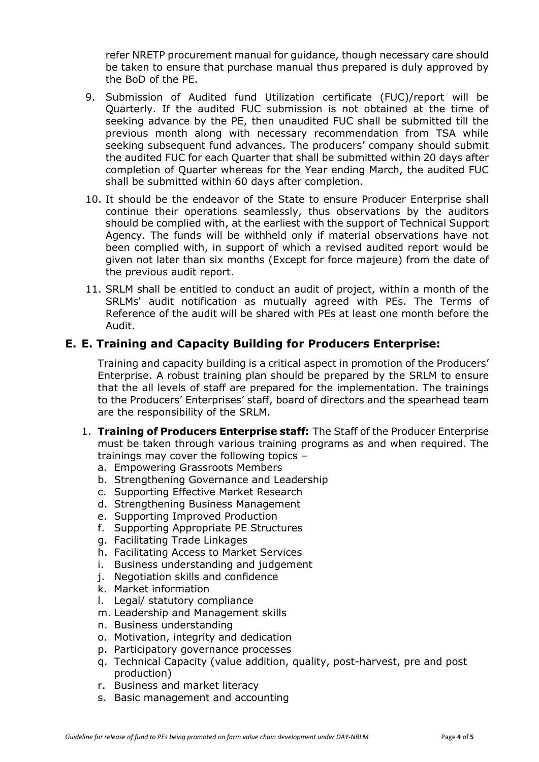refer NRETP procurement manual for guidance, though necessary care should be taken to ensure that purchase manual thus prepared is duly approved by the BoD of the PE.

- 9. Submission of Audited fund Utilization certificate (FUC)/report will be Quarterly. If the audited FUC submission is not obtained at the time of seeking advance by the PE, then unaudited FUC shall be submitted till the previous month along with necessary recommendation from TSA while seeking subsequent fund advances. The producers' company should submit the audited FUC for each Quarter that shall be submitted within 20 days after completion of Quarter whereas for the Year ending March, the audited FUC shall be submitted within 60 days after completion.
- 10. It should be the endeavor of the State to ensure Producer Enterprise shall continue their operations seamlessly, thus observations by the auditors should be complied with, at the earliest with the support of Technical Support Agency. The funds will be withheld only if material observations have not been complied with, in support of which a revised audited report would be given not later than six months (Except for force majeure) from the date of the previous audit report.
- 11. SRLM shall be entitled to conduct an audit of project, within a month of the SRLMs' audit notification as mutually agreed with PEs. The Terms of Reference of the audit will be shared with PEs at least one month before the Audit.

## **E. E. Training and Capacity Building for Producers Enterprise:**

Training and capacity building is a critical aspect in promotion of the Producers' Enterprise. A robust training plan should be prepared by the SRLM to ensure that the all levels of staff are prepared for the implementation. The trainings to the Producers' Enterprises' staff, board of directors and the spearhead team are the responsibility of the SRLM.

- 1. **Training of Producers Enterprise staff:** The Staff of the Producer Enterprise must be taken through various training programs as and when required. The trainings may cover the following topics –
	- a. Empowering Grassroots Members
	- b. Strengthening Governance and Leadership
	- c. Supporting Effective Market Research
	- d. Strengthening Business Management
	- e. Supporting Improved Production
	- f. Supporting Appropriate PE Structures
	- g. Facilitating Trade Linkages
	- h. Facilitating Access to Market Services
	- i. Business understanding and judgement
	- j. Negotiation skills and confidence
	- k. Market information
	- l. Legal/ statutory compliance
	- m. Leadership and Management skills
	- n. Business understanding
	- o. Motivation, integrity and dedication
	- p. Participatory governance processes
	- q. Technical Capacity (value addition, quality, post-harvest, pre and post production)
	- r. Business and market literacy
	- s. Basic management and accounting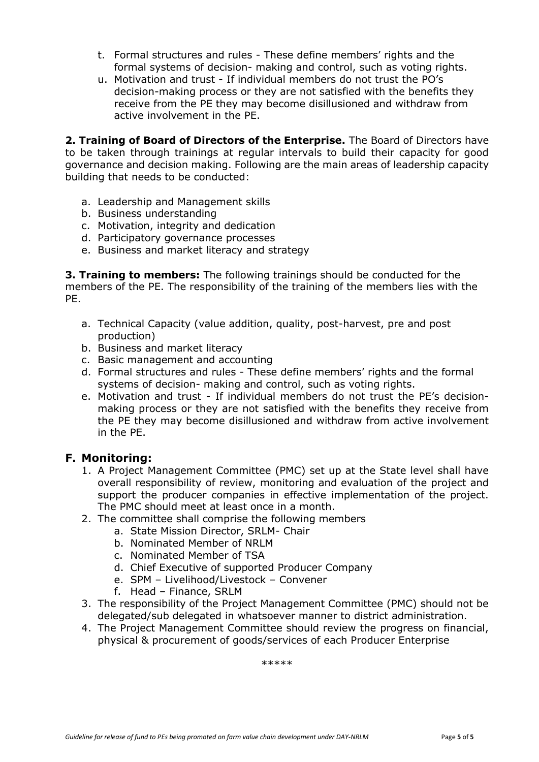- t. Formal structures and rules These define members' rights and the formal systems of decision- making and control, such as voting rights.
- u. Motivation and trust If individual members do not trust the PO's decision-making process or they are not satisfied with the benefits they receive from the PE they may become disillusioned and withdraw from active involvement in the PE.

**2. Training of Board of Directors of the Enterprise.** The Board of Directors have to be taken through trainings at regular intervals to build their capacity for good governance and decision making. Following are the main areas of leadership capacity building that needs to be conducted:

- a. Leadership and Management skills
- b. Business understanding
- c. Motivation, integrity and dedication
- d. Participatory governance processes
- e. Business and market literacy and strategy

**3. Training to members:** The following trainings should be conducted for the members of the PE. The responsibility of the training of the members lies with the PE.

- a. Technical Capacity (value addition, quality, post-harvest, pre and post production)
- b. Business and market literacy
- c. Basic management and accounting
- d. Formal structures and rules These define members' rights and the formal systems of decision- making and control, such as voting rights.
- e. Motivation and trust If individual members do not trust the PE's decisionmaking process or they are not satisfied with the benefits they receive from the PE they may become disillusioned and withdraw from active involvement in the PE.

## **F. Monitoring:**

- 1. A Project Management Committee (PMC) set up at the State level shall have overall responsibility of review, monitoring and evaluation of the project and support the producer companies in effective implementation of the project. The PMC should meet at least once in a month.
- 2. The committee shall comprise the following members
	- a. State Mission Director, SRLM- Chair
	- b. Nominated Member of NRLM
	- c. Nominated Member of TSA
	- d. Chief Executive of supported Producer Company
	- e. SPM Livelihood/Livestock Convener
	- f. Head Finance, SRLM
- 3. The responsibility of the Project Management Committee (PMC) should not be delegated/sub delegated in whatsoever manner to district administration.
- 4. The Project Management Committee should review the progress on financial, physical & procurement of goods/services of each Producer Enterprise

\*\*\*\*\*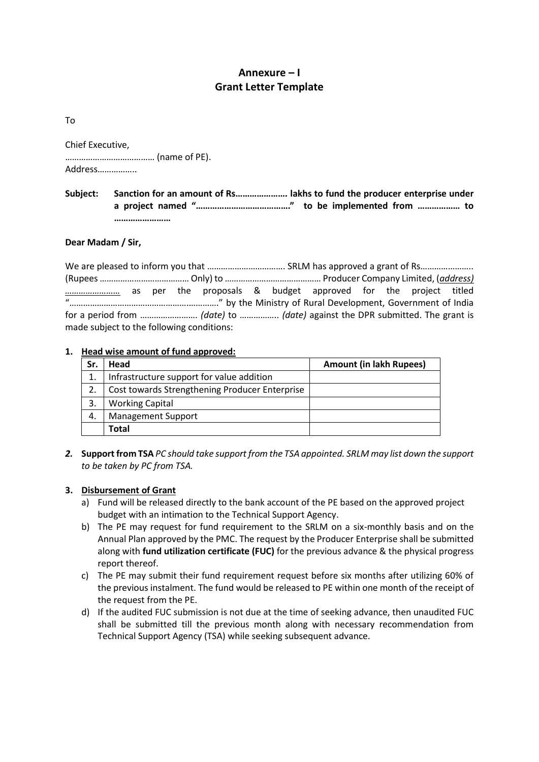## **Annexure – I Grant Letter Template**

To

| Chief Executive, |
|------------------|
|                  |
| Address          |

#### **Subject: Sanction for an amount of Rs…………………. lakhs to fund the producer enterprise under a project named "…………………………………." to be implemented from ……………… to ……………………**

#### **Dear Madam / Sir,**

| $\mathbf{u}$                              |  |  |  |  |  |  |  |  |  |  |  |
|-------------------------------------------|--|--|--|--|--|--|--|--|--|--|--|
|                                           |  |  |  |  |  |  |  |  |  |  |  |
| made subject to the following conditions: |  |  |  |  |  |  |  |  |  |  |  |

#### **1. Head wise amount of fund approved:**

| Sr. | Head                                           | <b>Amount (in lakh Rupees)</b> |
|-----|------------------------------------------------|--------------------------------|
| 1.  | Infrastructure support for value addition      |                                |
| 2.  | Cost towards Strengthening Producer Enterprise |                                |
| 3.  | <b>Working Capital</b>                         |                                |
| 4.  | <b>Management Support</b>                      |                                |
|     | <b>Total</b>                                   |                                |

*2.* **Support from TSA** *PC should take support from the TSA appointed. SRLM may list down the support to be taken by PC from TSA.*

#### **3. Disbursement of Grant**

- a) Fund will be released directly to the bank account of the PE based on the approved project budget with an intimation to the Technical Support Agency.
- b) The PE may request for fund requirement to the SRLM on a six-monthly basis and on the Annual Plan approved by the PMC. The request by the Producer Enterprise shall be submitted along with **fund utilization certificate (FUC)** for the previous advance & the physical progress report thereof.
- c) The PE may submit their fund requirement request before six months after utilizing 60% of the previous instalment. The fund would be released to PE within one month of the receipt of the request from the PE.
- d) If the audited FUC submission is not due at the time of seeking advance, then unaudited FUC shall be submitted till the previous month along with necessary recommendation from Technical Support Agency (TSA) while seeking subsequent advance.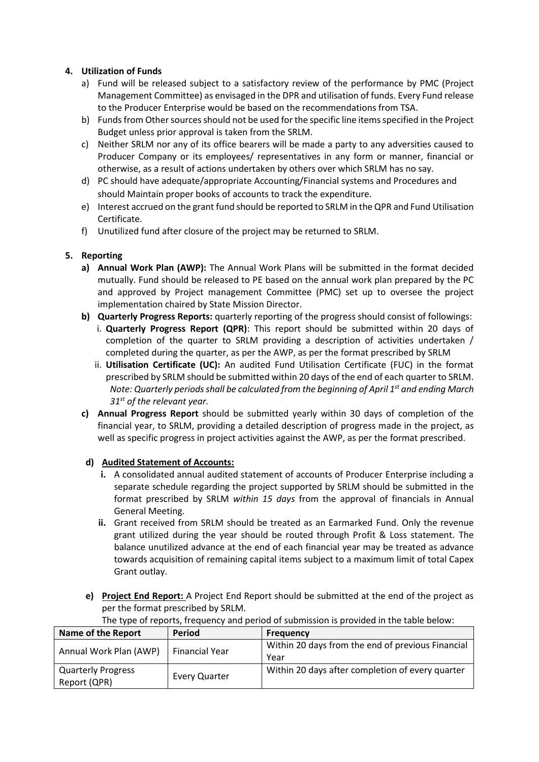#### **4. Utilization of Funds**

- a) Fund will be released subject to a satisfactory review of the performance by PMC (Project Management Committee) as envisaged in the DPR and utilisation of funds. Every Fund release to the Producer Enterprise would be based on the recommendations from TSA.
- b) Funds from Other sources should not be used for the specific line items specified in the Project Budget unless prior approval is taken from the SRLM.
- c) Neither SRLM nor any of its office bearers will be made a party to any adversities caused to Producer Company or its employees/ representatives in any form or manner, financial or otherwise, as a result of actions undertaken by others over which SRLM has no say.
- d) PC should have adequate/appropriate Accounting/Financial systems and Procedures and should Maintain proper books of accounts to track the expenditure.
- e) Interest accrued on the grant fund should be reported to SRLM in the QPR and Fund Utilisation Certificate.
- f) Unutilized fund after closure of the project may be returned to SRLM.

#### **5. Reporting**

- **a) Annual Work Plan (AWP):** The Annual Work Plans will be submitted in the format decided mutually. Fund should be released to PE based on the annual work plan prepared by the PC and approved by Project management Committee (PMC) set up to oversee the project implementation chaired by State Mission Director.
- **b) Quarterly Progress Reports:** quarterly reporting of the progress should consist of followings:
	- i. **Quarterly Progress Report (QPR)**: This report should be submitted within 20 days of completion of the quarter to SRLM providing a description of activities undertaken / completed during the quarter, as per the AWP, as per the format prescribed by SRLM
	- ii. **Utilisation Certificate (UC):** An audited Fund Utilisation Certificate (FUC) in the format prescribed by SRLM should be submitted within 20 days of the end of each quarter to SRLM. *Note: Quarterly periods shall be calculated from the beginning of April 1st and ending March 31st of the relevant year.*
- **c) Annual Progress Report** should be submitted yearly within 30 days of completion of the financial year, to SRLM, providing a detailed description of progress made in the project, as well as specific progress in project activities against the AWP, as per the format prescribed.

#### **d) Audited Statement of Accounts:**

- **i.** A consolidated annual audited statement of accounts of Producer Enterprise including a separate schedule regarding the project supported by SRLM should be submitted in the format prescribed by SRLM *within 15 days* from the approval of financials in Annual General Meeting.
- **ii.** Grant received from SRLM should be treated as an Earmarked Fund. Only the revenue grant utilized during the year should be routed through Profit & Loss statement. The balance unutilized advance at the end of each financial year may be treated as advance towards acquisition of remaining capital items subject to a maximum limit of total Capex Grant outlay.
- **e) Project End Report:** A Project End Report should be submitted at the end of the project as per the format prescribed by SRLM.

| Name of the Report                        | Period                | <b>Frequency</b>                                          |  |  |
|-------------------------------------------|-----------------------|-----------------------------------------------------------|--|--|
| Annual Work Plan (AWP)                    | <b>Financial Year</b> | Within 20 days from the end of previous Financial<br>Year |  |  |
| <b>Quarterly Progress</b><br>Report (QPR) | <b>Every Quarter</b>  | Within 20 days after completion of every quarter          |  |  |

The type of reports, frequency and period of submission is provided in the table below: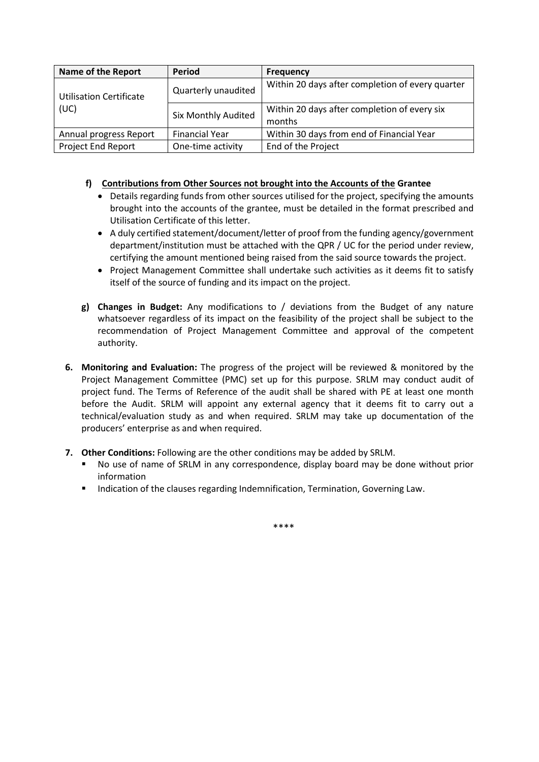| <b>Name of the Report</b>      | Period                | <b>Frequency</b>                                 |  |  |
|--------------------------------|-----------------------|--------------------------------------------------|--|--|
| <b>Utilisation Certificate</b> | Quarterly unaudited   | Within 20 days after completion of every quarter |  |  |
| (UC)                           | Six Monthly Audited   | Within 20 days after completion of every six     |  |  |
|                                |                       | months                                           |  |  |
| Annual progress Report         | <b>Financial Year</b> | Within 30 days from end of Financial Year        |  |  |
| <b>Project End Report</b>      | One-time activity     | End of the Project                               |  |  |

### **f) Contributions from Other Sources not brought into the Accounts of the Grantee**

- Details regarding funds from other sources utilised for the project, specifying the amounts brought into the accounts of the grantee, must be detailed in the format prescribed and Utilisation Certificate of this letter.
- A duly certified statement/document/letter of proof from the funding agency/government department/institution must be attached with the QPR / UC for the period under review, certifying the amount mentioned being raised from the said source towards the project.
- Project Management Committee shall undertake such activities as it deems fit to satisfy itself of the source of funding and its impact on the project.
- **g) Changes in Budget:** Any modifications to / deviations from the Budget of any nature whatsoever regardless of its impact on the feasibility of the project shall be subject to the recommendation of Project Management Committee and approval of the competent authority.
- **6. Monitoring and Evaluation:** The progress of the project will be reviewed & monitored by the Project Management Committee (PMC) set up for this purpose. SRLM may conduct audit of project fund. The Terms of Reference of the audit shall be shared with PE at least one month before the Audit. SRLM will appoint any external agency that it deems fit to carry out a technical/evaluation study as and when required. SRLM may take up documentation of the producers' enterprise as and when required.
- **7. Other Conditions:** Following are the other conditions may be added by SRLM.
	- No use of name of SRLM in any correspondence, display board may be done without prior information
	- **■** Indication of the clauses regarding Indemnification, Termination, Governing Law.

\*\*\*\*